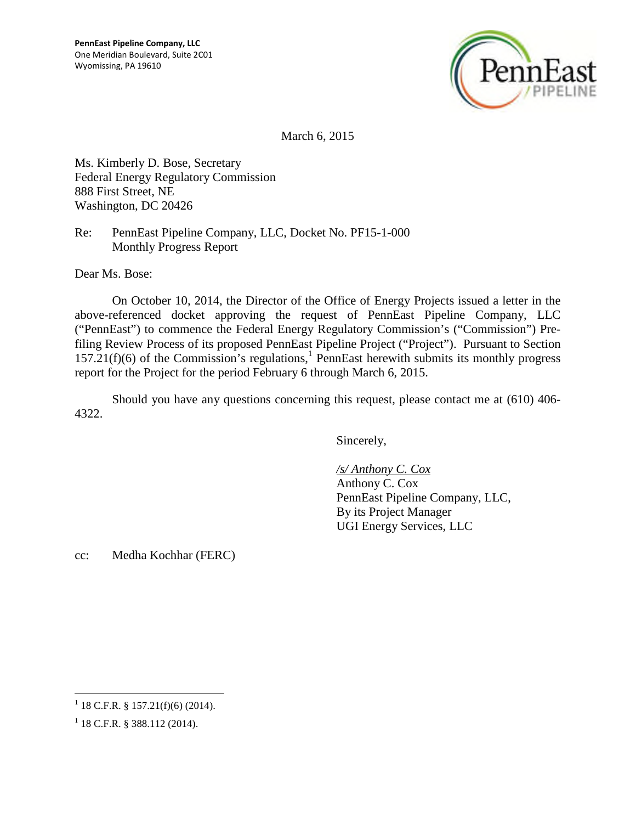

March 6, 2015

Ms. Kimberly D. Bose, Secretary Federal Energy Regulatory Commission 888 First Street, NE Washington, DC 20426

Re: PennEast Pipeline Company, LLC, Docket No. PF15-1-000 Monthly Progress Report

Dear Ms. Bose:

On October 10, 2014, the Director of the Office of Energy Projects issued a letter in the above-referenced docket approving the request of PennEast Pipeline Company, LLC ("PennEast") to commence the Federal Energy Regulatory Commission's ("Commission") Prefiling Review Process of its proposed PennEast Pipeline Project ("Project"). Pursuant to Section  $157.21(f)(6)$  of the Commission's regulations,<sup>1</sup> PennEast herewith submits its monthly progress report for the Project for the period February 6 through March 6, 2015.

Should you have any questions concerning this request, please contact me at (610) 406- 4322.

Sincerely,

*/s/ Anthony C. Cox* Anthony C. Cox PennEast Pipeline Company, LLC, By its Project Manager UGI Energy Services, LLC

cc: Medha Kochhar (FERC)

 $1$  18 C.F.R. § 157.21(f)(6) (2014).

 $1$  18 C.F.R. § 388.112 (2014).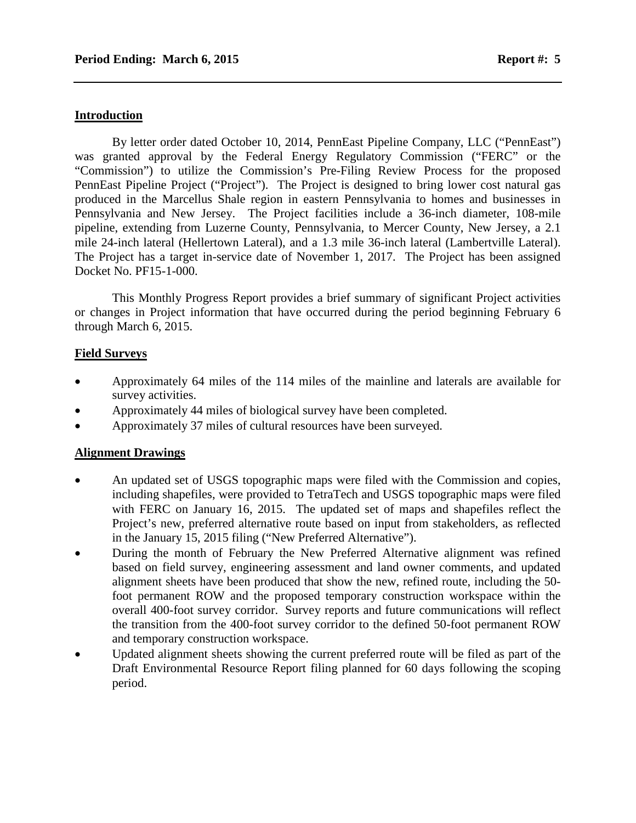#### **Introduction**

By letter order dated October 10, 2014, PennEast Pipeline Company, LLC ("PennEast") was granted approval by the Federal Energy Regulatory Commission ("FERC" or the "Commission") to utilize the Commission's Pre-Filing Review Process for the proposed PennEast Pipeline Project ("Project"). The Project is designed to bring lower cost natural gas produced in the Marcellus Shale region in eastern Pennsylvania to homes and businesses in Pennsylvania and New Jersey. The Project facilities include a 36-inch diameter, 108-mile pipeline, extending from Luzerne County, Pennsylvania, to Mercer County, New Jersey, a 2.1 mile 24-inch lateral (Hellertown Lateral), and a 1.3 mile 36-inch lateral (Lambertville Lateral). The Project has a target in-service date of November 1, 2017. The Project has been assigned Docket No. PF15-1-000.

This Monthly Progress Report provides a brief summary of significant Project activities or changes in Project information that have occurred during the period beginning February 6 through March 6, 2015.

#### **Field Surveys**

- Approximately 64 miles of the 114 miles of the mainline and laterals are available for survey activities.
- Approximately 44 miles of biological survey have been completed.
- Approximately 37 miles of cultural resources have been surveyed.

#### **Alignment Drawings**

- An updated set of USGS topographic maps were filed with the Commission and copies, including shapefiles, were provided to TetraTech and USGS topographic maps were filed with FERC on January 16, 2015. The updated set of maps and shapefiles reflect the Project's new, preferred alternative route based on input from stakeholders, as reflected in the January 15, 2015 filing ("New Preferred Alternative").
- During the month of February the New Preferred Alternative alignment was refined based on field survey, engineering assessment and land owner comments, and updated alignment sheets have been produced that show the new, refined route, including the 50 foot permanent ROW and the proposed temporary construction workspace within the overall 400-foot survey corridor. Survey reports and future communications will reflect the transition from the 400-foot survey corridor to the defined 50-foot permanent ROW and temporary construction workspace.
- Updated alignment sheets showing the current preferred route will be filed as part of the Draft Environmental Resource Report filing planned for 60 days following the scoping period.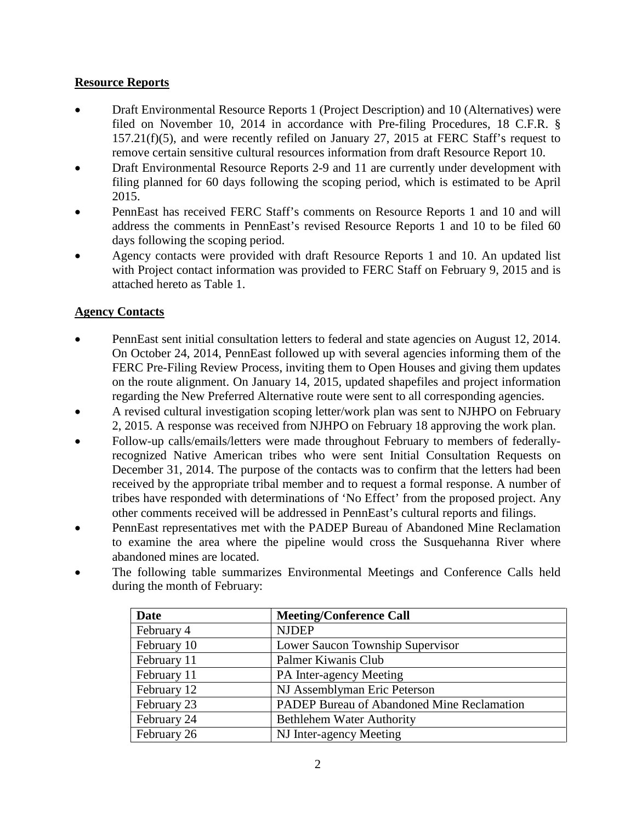#### **Resource Reports**

- Draft Environmental Resource Reports 1 (Project Description) and 10 (Alternatives) were filed on November 10, 2014 in accordance with Pre-filing Procedures, 18 C.F.R. § 157.21(f)(5), and were recently refiled on January 27, 2015 at FERC Staff's request to remove certain sensitive cultural resources information from draft Resource Report 10.
- Draft Environmental Resource Reports 2-9 and 11 are currently under development with filing planned for 60 days following the scoping period, which is estimated to be April 2015.
- PennEast has received FERC Staff's comments on Resource Reports 1 and 10 and will address the comments in PennEast's revised Resource Reports 1 and 10 to be filed 60 days following the scoping period.
- Agency contacts were provided with draft Resource Reports 1 and 10. An updated list with Project contact information was provided to FERC Staff on February 9, 2015 and is attached hereto as Table 1.

## **Agency Contacts**

- PennEast sent initial consultation letters to federal and state agencies on August 12, 2014. On October 24, 2014, PennEast followed up with several agencies informing them of the FERC Pre-Filing Review Process, inviting them to Open Houses and giving them updates on the route alignment. On January 14, 2015, updated shapefiles and project information regarding the New Preferred Alternative route were sent to all corresponding agencies.
- A revised cultural investigation scoping letter/work plan was sent to NJHPO on February 2, 2015. A response was received from NJHPO on February 18 approving the work plan.
- Follow-up calls/emails/letters were made throughout February to members of federallyrecognized Native American tribes who were sent Initial Consultation Requests on December 31, 2014. The purpose of the contacts was to confirm that the letters had been received by the appropriate tribal member and to request a formal response. A number of tribes have responded with determinations of 'No Effect' from the proposed project. Any other comments received will be addressed in PennEast's cultural reports and filings.
- PennEast representatives met with the PADEP Bureau of Abandoned Mine Reclamation to examine the area where the pipeline would cross the Susquehanna River where abandoned mines are located.
- The following table summarizes Environmental Meetings and Conference Calls held during the month of February:

| <b>Date</b> | <b>Meeting/Conference Call</b>             |
|-------------|--------------------------------------------|
| February 4  | <b>NJDEP</b>                               |
| February 10 | Lower Saucon Township Supervisor           |
| February 11 | Palmer Kiwanis Club                        |
| February 11 | PA Inter-agency Meeting                    |
| February 12 | NJ Assemblyman Eric Peterson               |
| February 23 | PADEP Bureau of Abandoned Mine Reclamation |
| February 24 | <b>Bethlehem Water Authority</b>           |
| February 26 | NJ Inter-agency Meeting                    |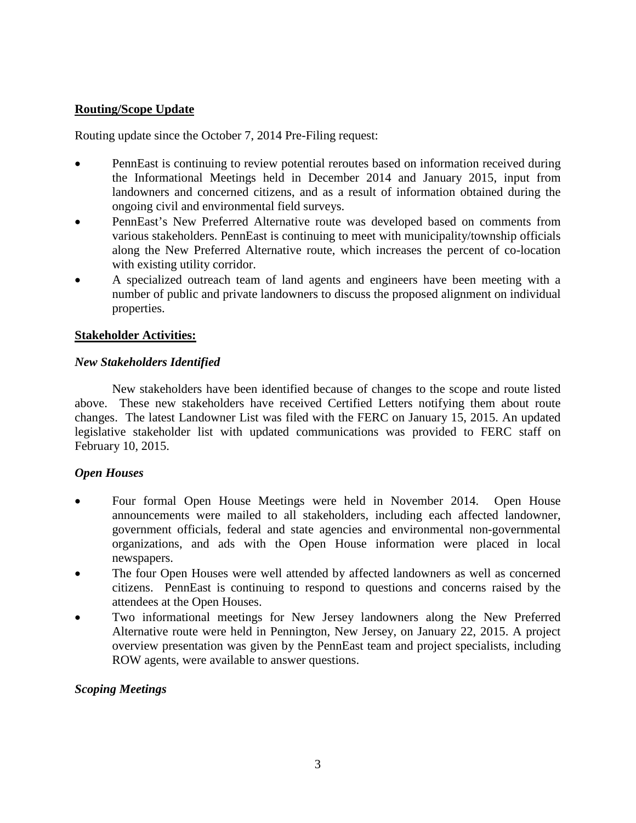### **Routing/Scope Update**

Routing update since the October 7, 2014 Pre-Filing request:

- PennEast is continuing to review potential reroutes based on information received during the Informational Meetings held in December 2014 and January 2015, input from landowners and concerned citizens, and as a result of information obtained during the ongoing civil and environmental field surveys.
- PennEast's New Preferred Alternative route was developed based on comments from various stakeholders. PennEast is continuing to meet with municipality/township officials along the New Preferred Alternative route, which increases the percent of co-location with existing utility corridor.
- A specialized outreach team of land agents and engineers have been meeting with a number of public and private landowners to discuss the proposed alignment on individual properties.

#### **Stakeholder Activities:**

#### *New Stakeholders Identified*

New stakeholders have been identified because of changes to the scope and route listed above. These new stakeholders have received Certified Letters notifying them about route changes. The latest Landowner List was filed with the FERC on January 15, 2015. An updated legislative stakeholder list with updated communications was provided to FERC staff on February 10, 2015.

#### *Open Houses*

- Four formal Open House Meetings were held in November 2014. Open House announcements were mailed to all stakeholders, including each affected landowner, government officials, federal and state agencies and environmental non-governmental organizations, and ads with the Open House information were placed in local newspapers.
- The four Open Houses were well attended by affected landowners as well as concerned citizens. PennEast is continuing to respond to questions and concerns raised by the attendees at the Open Houses.
- Two informational meetings for New Jersey landowners along the New Preferred Alternative route were held in Pennington, New Jersey, on January 22, 2015. A project overview presentation was given by the PennEast team and project specialists, including ROW agents, were available to answer questions.

#### *Scoping Meetings*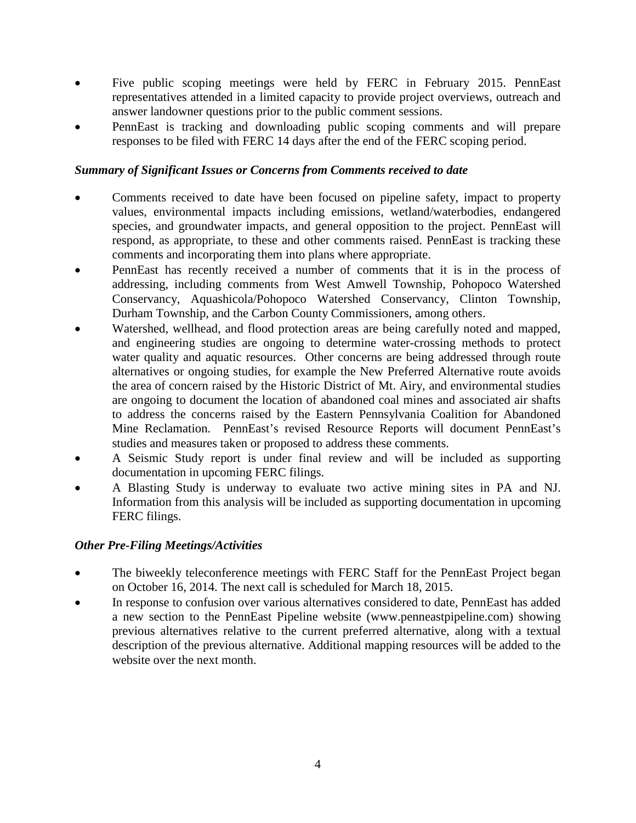- Five public scoping meetings were held by FERC in February 2015. PennEast representatives attended in a limited capacity to provide project overviews, outreach and answer landowner questions prior to the public comment sessions.
- PennEast is tracking and downloading public scoping comments and will prepare responses to be filed with FERC 14 days after the end of the FERC scoping period.

### *Summary of Significant Issues or Concerns from Comments received to date*

- Comments received to date have been focused on pipeline safety, impact to property values, environmental impacts including emissions, wetland/waterbodies, endangered species, and groundwater impacts, and general opposition to the project. PennEast will respond, as appropriate, to these and other comments raised. PennEast is tracking these comments and incorporating them into plans where appropriate.
- PennEast has recently received a number of comments that it is in the process of addressing, including comments from West Amwell Township, Pohopoco Watershed Conservancy, Aquashicola/Pohopoco Watershed Conservancy, Clinton Township, Durham Township, and the Carbon County Commissioners, among others.
- Watershed, wellhead, and flood protection areas are being carefully noted and mapped, and engineering studies are ongoing to determine water-crossing methods to protect water quality and aquatic resources. Other concerns are being addressed through route alternatives or ongoing studies, for example the New Preferred Alternative route avoids the area of concern raised by the Historic District of Mt. Airy, and environmental studies are ongoing to document the location of abandoned coal mines and associated air shafts to address the concerns raised by the Eastern Pennsylvania Coalition for Abandoned Mine Reclamation. PennEast's revised Resource Reports will document PennEast's studies and measures taken or proposed to address these comments.
- A Seismic Study report is under final review and will be included as supporting documentation in upcoming FERC filings.
- A Blasting Study is underway to evaluate two active mining sites in PA and NJ. Information from this analysis will be included as supporting documentation in upcoming FERC filings.

#### *Other Pre-Filing Meetings/Activities*

- The biweekly teleconference meetings with FERC Staff for the PennEast Project began on October 16, 2014. The next call is scheduled for March 18, 2015.
- In response to confusion over various alternatives considered to date, PennEast has added a new section to the PennEast Pipeline website (www.penneastpipeline.com) showing previous alternatives relative to the current preferred alternative, along with a textual description of the previous alternative. Additional mapping resources will be added to the website over the next month.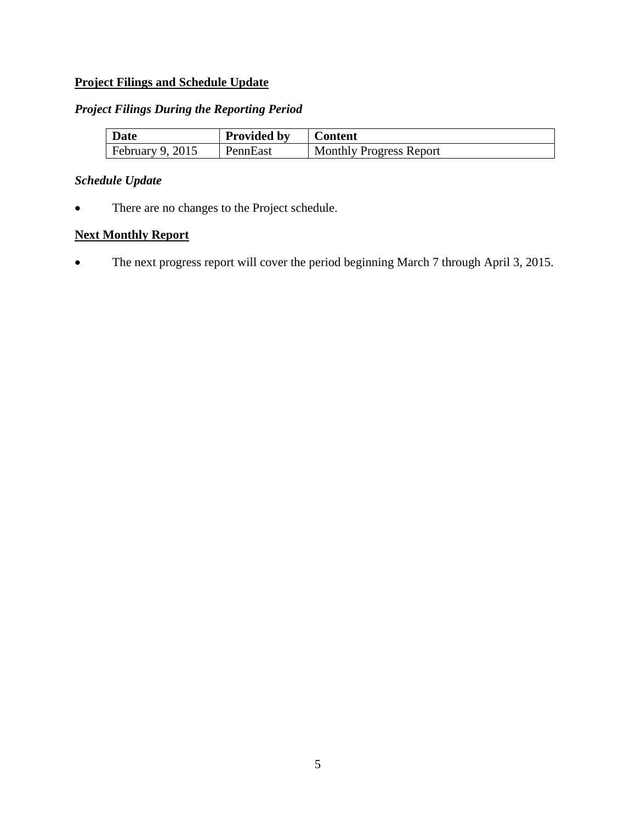## **Project Filings and Schedule Update**

#### *Project Filings During the Reporting Period*

| <b>Date</b>        | <b>Provided by</b> | <b>Content</b>                 |
|--------------------|--------------------|--------------------------------|
| February $9, 2015$ | PennEast           | <b>Monthly Progress Report</b> |

# *Schedule Update*

There are no changes to the Project schedule.

## **Next Monthly Report**

• The next progress report will cover the period beginning March 7 through April 3, 2015.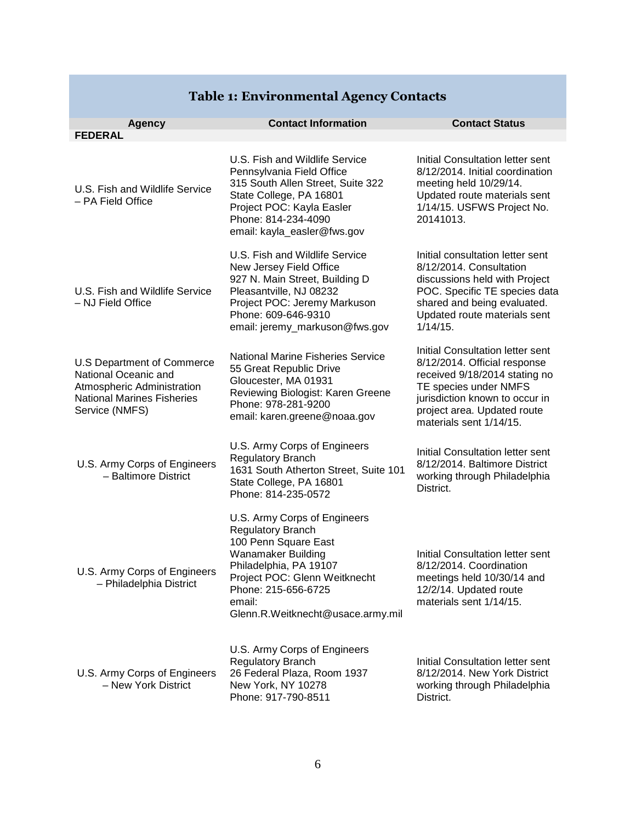|                                                                                                                                         | <b>Contact Information</b>                                                                                                                                                                                                                     | <b>Contact Status</b>                                                                                                                                                                                                  |
|-----------------------------------------------------------------------------------------------------------------------------------------|------------------------------------------------------------------------------------------------------------------------------------------------------------------------------------------------------------------------------------------------|------------------------------------------------------------------------------------------------------------------------------------------------------------------------------------------------------------------------|
| <b>Agency</b><br><b>FEDERAL</b>                                                                                                         |                                                                                                                                                                                                                                                |                                                                                                                                                                                                                        |
| U.S. Fish and Wildlife Service<br>- PA Field Office                                                                                     | U.S. Fish and Wildlife Service<br>Pennsylvania Field Office<br>315 South Allen Street, Suite 322<br>State College, PA 16801<br>Project POC: Kayla Easler<br>Phone: 814-234-4090<br>email: kayla_easler@fws.gov                                 | Initial Consultation letter sent<br>8/12/2014. Initial coordination<br>meeting held 10/29/14.<br>Updated route materials sent<br>1/14/15. USFWS Project No.<br>20141013.                                               |
| U.S. Fish and Wildlife Service<br>- NJ Field Office                                                                                     | U.S. Fish and Wildlife Service<br>New Jersey Field Office<br>927 N. Main Street, Building D<br>Pleasantville, NJ 08232<br>Project POC: Jeremy Markuson<br>Phone: 609-646-9310<br>email: jeremy_markuson@fws.gov                                | Initial consultation letter sent<br>8/12/2014. Consultation<br>discussions held with Project<br>POC. Specific TE species data<br>shared and being evaluated.<br>Updated route materials sent<br>1/14/15.               |
| U.S Department of Commerce<br>National Oceanic and<br>Atmospheric Administration<br><b>National Marines Fisheries</b><br>Service (NMFS) | <b>National Marine Fisheries Service</b><br>55 Great Republic Drive<br>Gloucester, MA 01931<br>Reviewing Biologist: Karen Greene<br>Phone: 978-281-9200<br>email: karen.greene@noaa.gov                                                        | Initial Consultation letter sent<br>8/12/2014. Official response<br>received 9/18/2014 stating no<br>TE species under NMFS<br>jurisdiction known to occur in<br>project area. Updated route<br>materials sent 1/14/15. |
| U.S. Army Corps of Engineers<br>- Baltimore District                                                                                    | U.S. Army Corps of Engineers<br><b>Regulatory Branch</b><br>1631 South Atherton Street, Suite 101<br>State College, PA 16801<br>Phone: 814-235-0572                                                                                            | Initial Consultation letter sent<br>8/12/2014. Baltimore District<br>working through Philadelphia<br>District.                                                                                                         |
| U.S. Army Corps of Engineers<br>- Philadelphia District                                                                                 | U.S. Army Corps of Engineers<br><b>Regulatory Branch</b><br>100 Penn Square East<br><b>Wanamaker Building</b><br>Philadelphia, PA 19107<br>Project POC: Glenn Weitknecht<br>Phone: 215-656-6725<br>email:<br>Glenn.R.Weitknecht@usace.army.mil | Initial Consultation letter sent<br>8/12/2014. Coordination<br>meetings held 10/30/14 and<br>12/2/14. Updated route<br>materials sent 1/14/15.                                                                         |
| U.S. Army Corps of Engineers<br>- New York District                                                                                     | U.S. Army Corps of Engineers<br>Regulatory Branch<br>26 Federal Plaza, Room 1937<br>New York, NY 10278<br>Phone: 917-790-8511                                                                                                                  | Initial Consultation letter sent<br>8/12/2014. New York District<br>working through Philadelphia<br>District.                                                                                                          |

# **Table 1: Environmental Agency Contacts**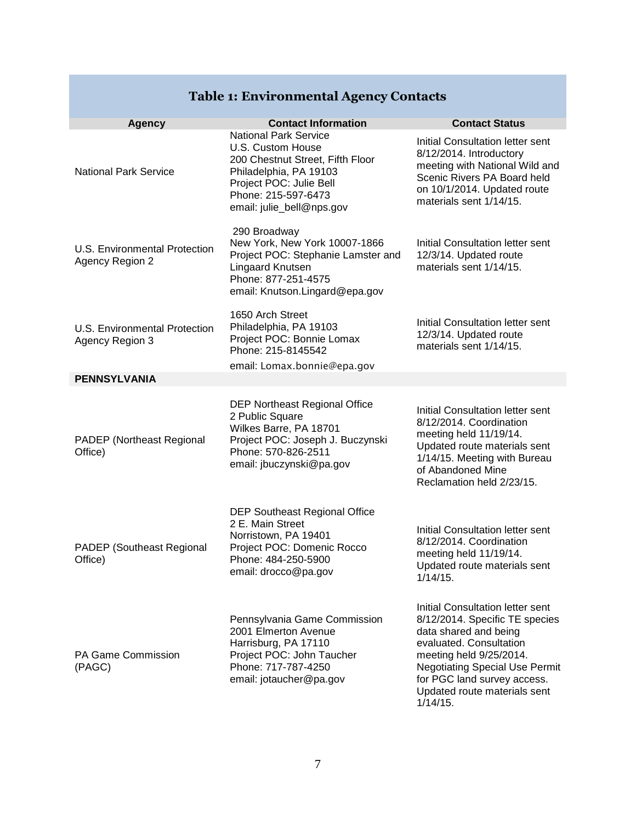#### **Agency Contact Information Contact Status** National Park Service National Park Service U.S. Custom House 200 Chestnut Street, Fifth Floor Philadelphia, PA 19103 Project POC: Julie Bell Phone: 215-597-6473 email: julie\_bell@nps.gov Initial Consultation letter sent 8/12/2014. Introductory meeting with National Wild and Scenic Rivers PA Board held on 10/1/2014. Updated route materials sent 1/14/15. U.S. Environmental Protection Agency Region 2 290 Broadway New York, New York 10007-1866 Project POC: Stephanie Lamster and Lingaard Knutsen Phone: 877-251-4575 email: Knutson.Lingard@epa.gov Initial Consultation letter sent 12/3/14. Updated route materials sent 1/14/15. U.S. Environmental Protection Agency Region 3 1650 Arch Street Philadelphia, PA 19103 Project POC: Bonnie Lomax Phone: 215-8145542 email: Lomax.bonnie@epa.gov Initial Consultation letter sent 12/3/14. Updated route materials sent 1/14/15. **PENNSYLVANIA** PADEP (Northeast Regional Office) DEP Northeast Regional Office 2 Public Square Wilkes Barre, PA 18701 Project POC: Joseph J. Buczynski Phone: 570-826-2511 email: jbuczynski@pa.gov Initial Consultation letter sent 8/12/2014. Coordination meeting held 11/19/14. Updated route materials sent 1/14/15. Meeting with Bureau of Abandoned Mine Reclamation held 2/23/15. PADEP (Southeast Regional Office) DEP Southeast Regional Office 2 E. Main Street Norristown, PA 19401 Project POC: Domenic Rocco Phone: 484-250-5900 email: drocco@pa.gov Initial Consultation letter sent 8/12/2014. Coordination meeting held 11/19/14. Updated route materials sent 1/14/15. PA Game Commission (PAGC) Pennsylvania Game Commission 2001 Elmerton Avenue Harrisburg, PA 17110 Project POC: John Taucher Phone: 717-787-4250 email: jotaucher@pa.gov Initial Consultation letter sent 8/12/2014. Specific TE species data shared and being evaluated. Consultation meeting held 9/25/2014. Negotiating Special Use Permit for PGC land survey access. Updated route materials sent

### **Table 1: Environmental Agency Contacts**

1/14/15.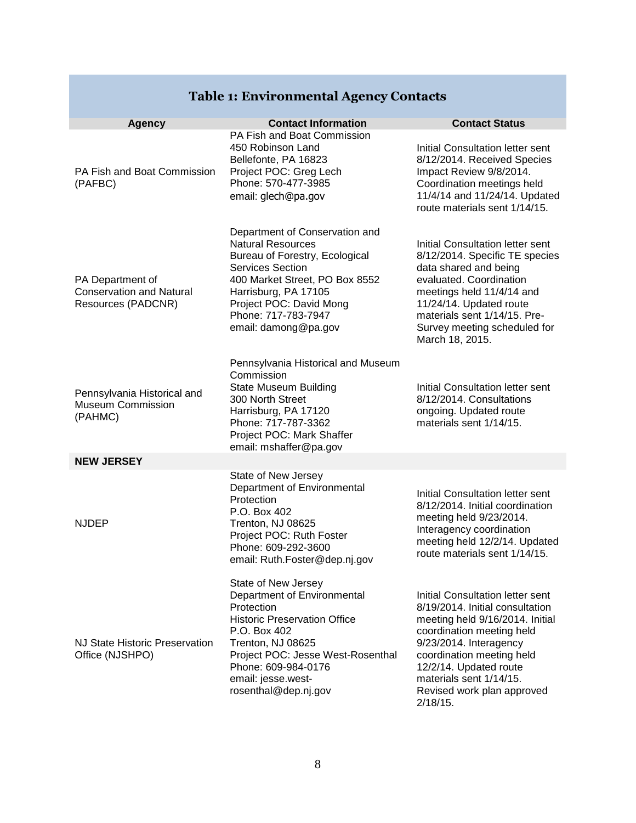# **Table 1: Environmental Agency Contacts**

| <b>Agency</b>                                                             | <b>Contact Information</b><br>PA Fish and Boat Commission                                                                                                                                                                                              | <b>Contact Status</b>                                                                                                                                                                                                                                                                        |
|---------------------------------------------------------------------------|--------------------------------------------------------------------------------------------------------------------------------------------------------------------------------------------------------------------------------------------------------|----------------------------------------------------------------------------------------------------------------------------------------------------------------------------------------------------------------------------------------------------------------------------------------------|
| PA Fish and Boat Commission<br>(PAFBC)                                    | 450 Robinson Land<br>Bellefonte, PA 16823<br>Project POC: Greg Lech<br>Phone: 570-477-3985<br>email: glech@pa.gov                                                                                                                                      | Initial Consultation letter sent<br>8/12/2014. Received Species<br>Impact Review 9/8/2014.<br>Coordination meetings held<br>11/4/14 and 11/24/14. Updated<br>route materials sent 1/14/15.                                                                                                   |
| PA Department of<br><b>Conservation and Natural</b><br>Resources (PADCNR) | Department of Conservation and<br><b>Natural Resources</b><br>Bureau of Forestry, Ecological<br>Services Section<br>400 Market Street, PO Box 8552<br>Harrisburg, PA 17105<br>Project POC: David Mong<br>Phone: 717-783-7947<br>email: damong@pa.gov   | Initial Consultation letter sent<br>8/12/2014. Specific TE species<br>data shared and being<br>evaluated. Coordination<br>meetings held 11/4/14 and<br>11/24/14. Updated route<br>materials sent 1/14/15. Pre-<br>Survey meeting scheduled for<br>March 18, 2015.                            |
| Pennsylvania Historical and<br><b>Museum Commission</b><br>(PAHMC)        | Pennsylvania Historical and Museum<br>Commission<br><b>State Museum Building</b><br>300 North Street<br>Harrisburg, PA 17120<br>Phone: 717-787-3362<br>Project POC: Mark Shaffer<br>email: mshaffer@pa.gov                                             | Initial Consultation letter sent<br>8/12/2014. Consultations<br>ongoing. Updated route<br>materials sent 1/14/15.                                                                                                                                                                            |
| <b>NEW JERSEY</b>                                                         |                                                                                                                                                                                                                                                        |                                                                                                                                                                                                                                                                                              |
| <b>NJDEP</b>                                                              | State of New Jersey<br>Department of Environmental<br>Protection<br>P.O. Box 402<br>Trenton, NJ 08625<br>Project POC: Ruth Foster<br>Phone: 609-292-3600<br>email: Ruth.Foster@dep.nj.gov                                                              | Initial Consultation letter sent<br>8/12/2014. Initial coordination<br>meeting held 9/23/2014.<br>Interagency coordination<br>meeting held 12/2/14. Updated<br>route materials sent 1/14/15.                                                                                                 |
| NJ State Historic Preservation<br>Office (NJSHPO)                         | State of New Jersey<br>Department of Environmental<br>Protection<br><b>Historic Preservation Office</b><br>P.O. Box 402<br>Trenton, NJ 08625<br>Project POC: Jesse West-Rosenthal<br>Phone: 609-984-0176<br>email: jesse.west-<br>rosenthal@dep.nj.gov | Initial Consultation letter sent<br>8/19/2014. Initial consultation<br>meeting held 9/16/2014. Initial<br>coordination meeting held<br>9/23/2014. Interagency<br>coordination meeting held<br>12/2/14. Updated route<br>materials sent 1/14/15.<br>Revised work plan approved<br>$2/18/15$ . |